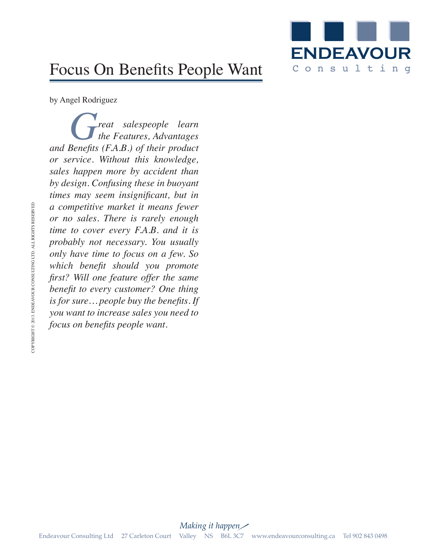

## Focus On Benefits People Want

by Angel Rodriguez

*Great salespeople learn*<br>*the Features, Advantages*<br>*Renefits (FAR)* of their product *the Features, Advantages and Benefits (F.A.B.) of their product or service. Without this knowledge, sales happen more by accident than by design. Confusing these in buoyant times may seem insignificant, but in a competitive market it means fewer or no sales. There is rarely enough time to cover every F.A.B. and it is probably not necessary. You usually only have time to focus on a few. So which benefit should you promote first? Will one feature offer the same benefit to every customer? One thing is for sure… people buy the benefits. If you want to increase sales you need to focus on benefits people want.*